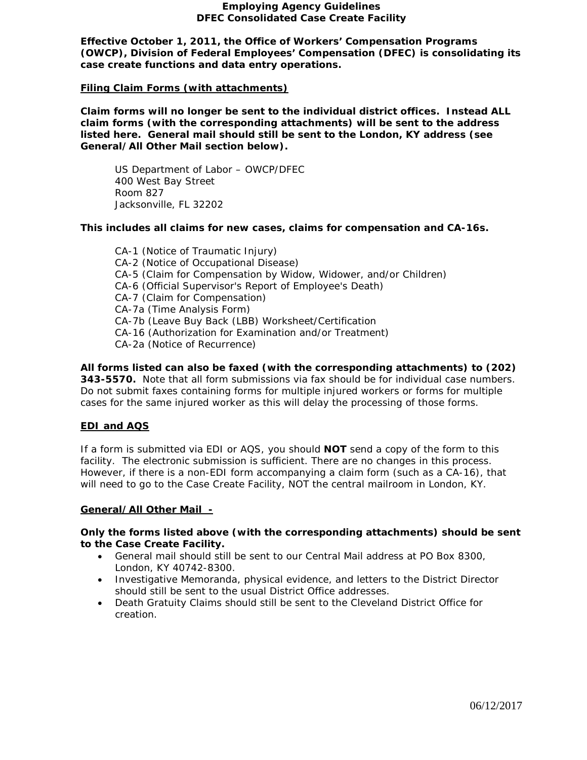### **Employing Agency Guidelines DFEC Consolidated Case Create Facility**

**Effective October 1, 2011, the Office of Workers' Compensation Programs (OWCP), Division of Federal Employees' Compensation (DFEC) is consolidating its case create functions and data entry operations.** 

## **Filing Claim Forms (with attachments)**

**Claim forms will no longer be sent to the individual district offices. Instead ALL claim forms (with the corresponding attachments) will be sent to the address listed here. General mail should still be sent to the London, KY address (see General/All Other Mail section below).**

US Department of Labor – OWCP/DFEC 400 West Bay Street Room 827 Jacksonville, FL 32202

**This includes all claims for new cases, claims for compensation and CA-16s.**

CA-1 (Notice of Traumatic Injury) CA-2 (Notice of Occupational Disease) CA-5 (Claim for Compensation by Widow, Widower, and/or Children) CA-6 (Official Supervisor's Report of Employee's Death) CA-7 (Claim for Compensation) CA-7a (Time Analysis Form) CA-7b (Leave Buy Back (LBB) Worksheet/Certification CA-16 (Authorization for Examination and/or Treatment) CA-2a (Notice of Recurrence)

**All forms listed can also be faxed (with the corresponding attachments) to (202)** 

**343-5570.** Note that all form submissions via fax should be for individual case numbers. Do not submit faxes containing forms for multiple injured workers or forms for multiple cases for the same injured worker as this will delay the processing of those forms.

# **EDI and AQS**

If a form is submitted via EDI or AQS, you should **NOT** send a copy of the form to this facility. The electronic submission is sufficient. There are no changes in this process. However, if there is a non-EDI form accompanying a claim form (such as a CA-16), that will need to go to the Case Create Facility, NOT the central mailroom in London, KY.

### **General/All Other Mail -**

## **Only the forms listed above (with the corresponding attachments) should be sent to the Case Create Facility.**

- General mail should still be sent to our Central Mail address at PO Box 8300, London, KY 40742-8300.
- Investigative Memoranda, physical evidence, and letters to the District Director should still be sent to the usual District Office addresses.
- Death Gratuity Claims should still be sent to the Cleveland District Office for creation.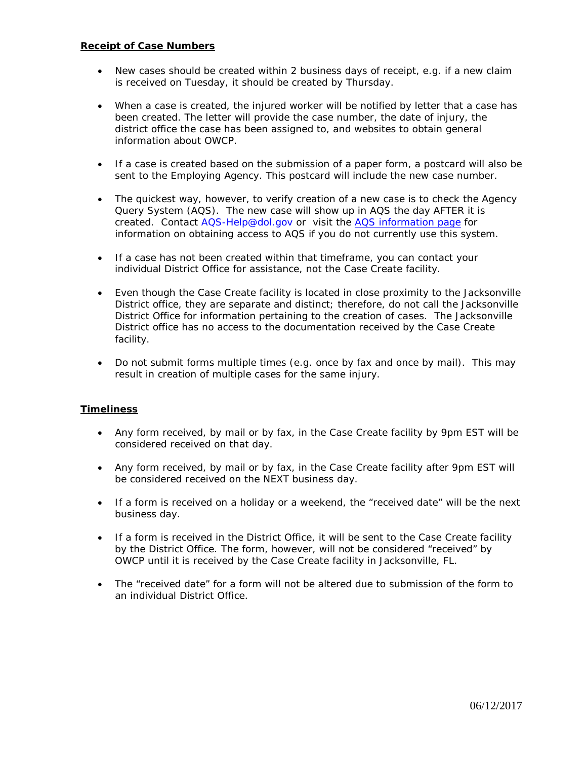## **Receipt of Case Numbers**

- New cases should be created within 2 business days of receipt, e.g. if a new claim is received on Tuesday, it should be created by Thursday.
- When a case is created, the injured worker will be notified by letter that a case has been created. The letter will provide the case number, the date of injury, the district office the case has been assigned to, and websites to obtain general information about OWCP.
- If a case is created based on the submission of a paper form, a postcard will also be sent to the Employing Agency. This postcard will include the new case number.
- The quickest way, however, to verify creation of a new case is to check the Agency Query System (AQS). The new case will show up in AQS the day AFTER it is created. Contact AQS-Help@dol.gov or visit the [AQS information page](http://www.dol.gov/owcp/dfec/regs/compliance/aqspage.htm) for information on obtaining access to AQS if you do not currently use this system.
- If a case has not been created within that timeframe, you can contact your individual District Office for assistance, not the Case Create facility.
- Even though the Case Create facility is located in close proximity to the Jacksonville District office, they are separate and distinct; therefore, do not call the Jacksonville District Office for information pertaining to the creation of cases. The Jacksonville District office has no access to the documentation received by the Case Create facility.
- Do not submit forms multiple times (e.g. once by fax and once by mail). This may result in creation of multiple cases for the same injury.

# **Timeliness**

- Any form received, by mail or by fax, in the Case Create facility by 9pm EST will be considered received on that day.
- Any form received, by mail or by fax, in the Case Create facility after 9pm EST will be considered received on the NEXT business day.
- If a form is received on a holiday or a weekend, the "received date" will be the next business day.
- If a form is received in the District Office, it will be sent to the Case Create facility by the District Office. The form, however, will not be considered "received" by OWCP until it is received by the Case Create facility in Jacksonville, FL.
- The "received date" for a form will not be altered due to submission of the form to an individual District Office.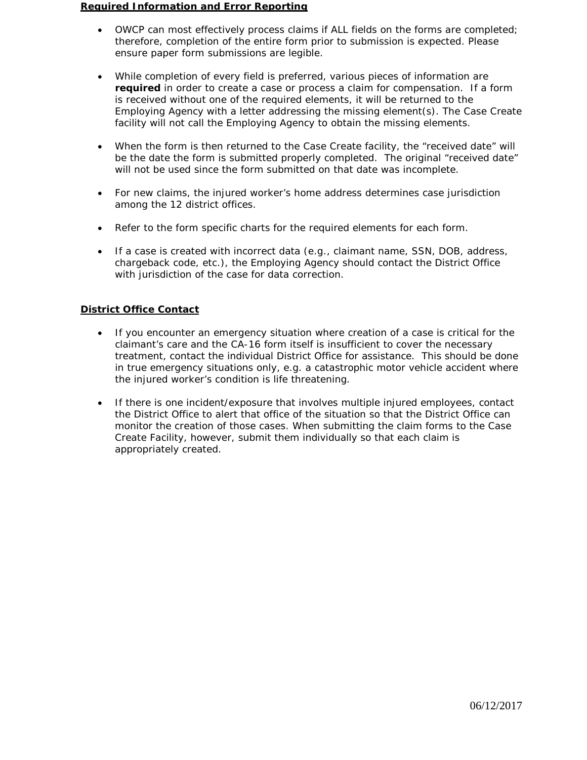#### **Required Information and Error Reporting**

- OWCP can most effectively process claims if ALL fields on the forms are completed; therefore, completion of the entire form prior to submission is expected. Please ensure paper form submissions are legible.
- While completion of every field is preferred, various pieces of information are **required** in order to create a case or process a claim for compensation. If a form is received without one of the required elements, it will be returned to the Employing Agency with a letter addressing the missing element(s). The Case Create facility will not call the Employing Agency to obtain the missing elements.
- When the form is then returned to the Case Create facility, the "received date" will be the date the form is submitted properly completed. The original "received date" will not be used since the form submitted on that date was incomplete.
- For new claims, the injured worker's home address determines case jurisdiction among the 12 district offices.
- Refer to the form specific charts for the required elements for each form.
- If a case is created with incorrect data (e.g., claimant name, SSN, DOB, address, chargeback code, etc.), the Employing Agency should contact the District Office with jurisdiction of the case for data correction.

# **District Office Contact**

- If you encounter an emergency situation where creation of a case is critical for the claimant's care and the CA-16 form itself is insufficient to cover the necessary treatment, contact the individual District Office for assistance. This should be done in true emergency situations only, e.g. a catastrophic motor vehicle accident where the injured worker's condition is life threatening.
- If there is one incident/exposure that involves multiple injured employees, contact the District Office to alert that office of the situation so that the District Office can monitor the creation of those cases. When submitting the claim forms to the Case Create Facility, however, submit them individually so that each claim is appropriately created.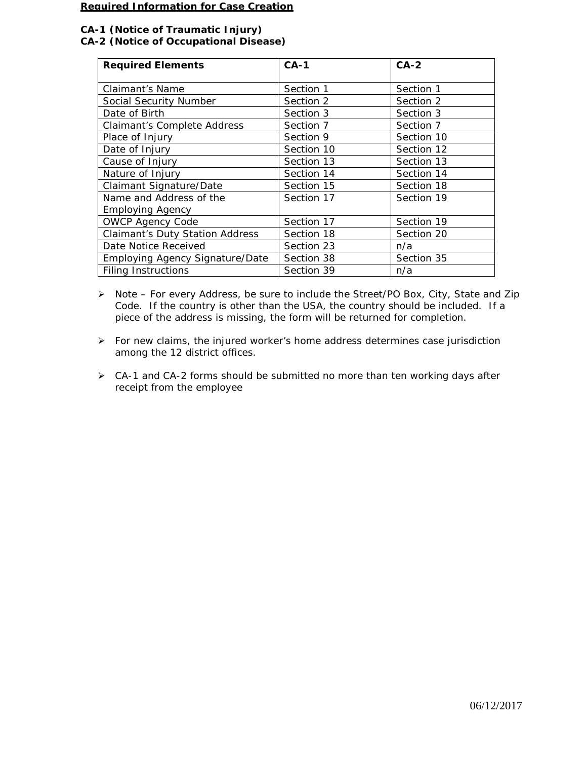#### **Required Information for Case Creation**

# **CA-1 (Notice of Traumatic Injury) CA-2 (Notice of Occupational Disease)**

| <b>Required Elements</b>               | $CA-1$     | $CA-2$     |
|----------------------------------------|------------|------------|
|                                        |            |            |
| Claimant's Name                        | Section 1  | Section 1  |
| Social Security Number                 | Section 2  | Section 2  |
| Date of Birth                          | Section 3  | Section 3  |
| <b>Claimant's Complete Address</b>     | Section 7  | Section 7  |
| Place of Injury                        | Section 9  | Section 10 |
| Date of Injury                         | Section 10 | Section 12 |
| Cause of Injury                        | Section 13 | Section 13 |
| Nature of Injury                       | Section 14 | Section 14 |
| Claimant Signature/Date                | Section 15 | Section 18 |
| Name and Address of the                | Section 17 | Section 19 |
| <b>Employing Agency</b>                |            |            |
| <b>OWCP Agency Code</b>                | Section 17 | Section 19 |
| <b>Claimant's Duty Station Address</b> | Section 18 | Section 20 |
| Date Notice Received                   | Section 23 | n/a        |
| Employing Agency Signature/Date        | Section 38 | Section 35 |
| <b>Filing Instructions</b>             | Section 39 | n/a        |

 Note – For every Address, be sure to include the Street/PO Box, City, State and Zip Code. If the country is other than the USA, the country should be included. If a piece of the address is missing, the form will be returned for completion.

 For new claims, the injured worker's home address determines case jurisdiction among the 12 district offices.

 $\triangleright$  CA-1 and CA-2 forms should be submitted no more than ten working days after receipt from the employee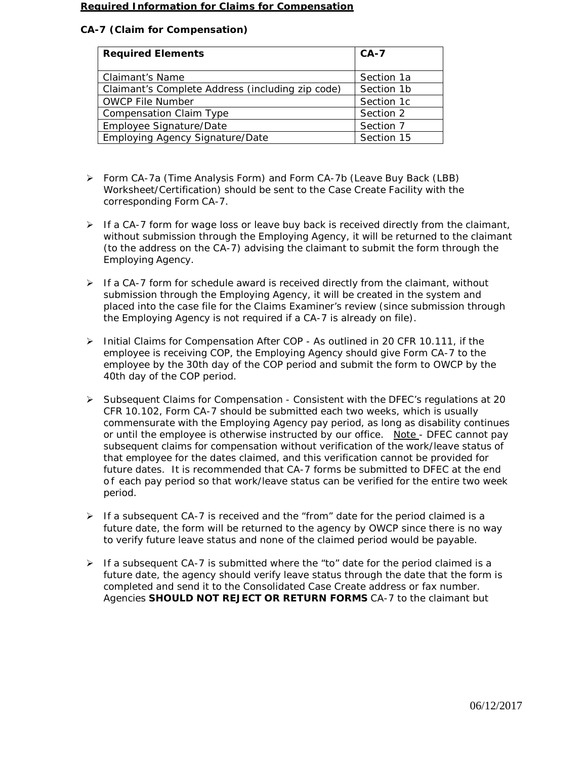#### **Required Information for Claims for Compensation**

# **CA-7 (Claim for Compensation)**

| <b>Required Elements</b>                         | $CA-7$     |
|--------------------------------------------------|------------|
| <b>Claimant's Name</b>                           | Section 1a |
| Claimant's Complete Address (including zip code) | Section 1b |
| <b>OWCP File Number</b>                          | Section 1c |
| <b>Compensation Claim Type</b>                   | Section 2  |
| Employee Signature/Date                          | Section 7  |
| <b>Employing Agency Signature/Date</b>           | Section 15 |

- Form CA-7a (Time Analysis Form) and Form CA-7b (Leave Buy Back (LBB) Worksheet/Certification) should be sent to the Case Create Facility with the corresponding Form CA-7.
- $\triangleright$  If a CA-7 form for wage loss or leave buy back is received directly from the claimant, without submission through the Employing Agency, it will be returned to the claimant (to the address on the CA-7) advising the claimant to submit the form through the Employing Agency.
- $\triangleright$  If a CA-7 form for schedule award is received directly from the claimant, without submission through the Employing Agency, it will be created in the system and placed into the case file for the Claims Examiner's review (since submission through the Employing Agency is not required if a CA-7 is already on file).
- $\triangleright$  Initial Claims for Compensation After COP As outlined in 20 CFR 10.111, if the employee is receiving COP, the Employing Agency should give Form CA-7 to the employee by the 30th day of the COP period and submit the form to OWCP by the 40th day of the COP period.
- $\triangleright$  Subsequent Claims for Compensation Consistent with the DFEC's regulations at 20 CFR 10.102, Form CA-7 should be submitted each two weeks, which is usually commensurate with the Employing Agency pay period, as long as disability continues or until the employee is otherwise instructed by our office. Note - DFEC cannot pay subsequent claims for compensation without verification of the work/leave status of that employee for the dates claimed, and this verification cannot be provided for future dates. It is recommended that CA-7 forms be submitted to DFEC at the end o f each pay period so that work/leave status can be verified for the entire two week period.
- $\triangleright$  If a subsequent CA-7 is received and the "from" date for the period claimed is a future date, the form will be returned to the agency by OWCP since there is no way to verify future leave status and none of the claimed period would be payable.
- If a subsequent CA-7 is submitted where the "to" date for the period claimed is a future date, the agency should verify leave status through the date that the form is completed and send it to the Consolidated Case Create address or fax number. Agencies **SHOULD NOT REJECT OR RETURN FORMS** CA-7 to the claimant but